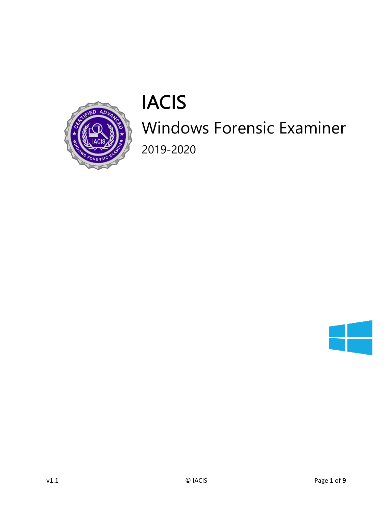

# IACIS

# Windows Forensic Examiner

2019-2020

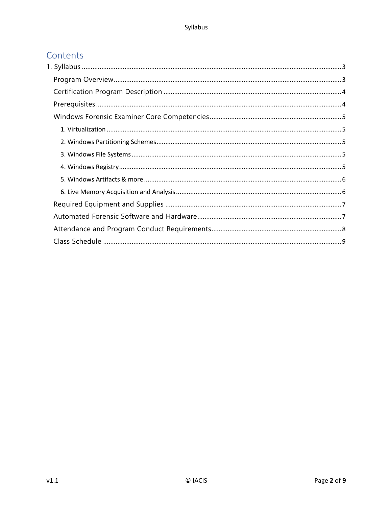### Contents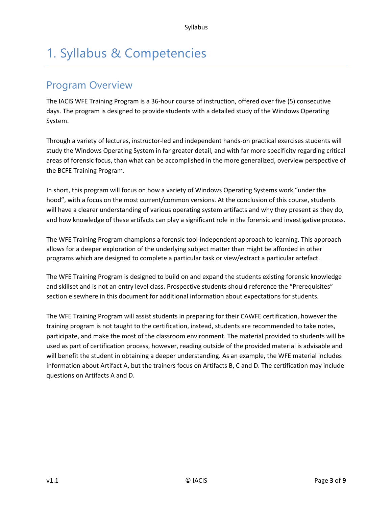## 1. Syllabus & Competencies

## Program Overview

The IACIS WFE Training Program is a 36-hour course of instruction, offered over five (5) consecutive days. The program is designed to provide students with a detailed study of the Windows Operating System.

Through a variety of lectures, instructor-led and independent hands-on practical exercises students will study the Windows Operating System in far greater detail, and with far more specificity regarding critical areas of forensic focus, than what can be accomplished in the more generalized, overview perspective of the BCFE Training Program.

In short, this program will focus on how a variety of Windows Operating Systems work "under the hood", with a focus on the most current/common versions. At the conclusion of this course, students will have a clearer understanding of various operating system artifacts and why they present as they do, and how knowledge of these artifacts can play a significant role in the forensic and investigative process.

The WFE Training Program champions a forensic tool-independent approach to learning. This approach allows for a deeper exploration of the underlying subject matter than might be afforded in other programs which are designed to complete a particular task or view/extract a particular artefact.

The WFE Training Program is designed to build on and expand the students existing forensic knowledge and skillset and is not an entry level class. Prospective students should reference the "Prerequisites" section elsewhere in this document for additional information about expectations for students.

The WFE Training Program will assist students in preparing for their CAWFE certification, however the training program is not taught to the certification, instead, students are recommended to take notes, participate, and make the most of the classroom environment. The material provided to students will be used as part of certification process, however, reading outside of the provided material is advisable and will benefit the student in obtaining a deeper understanding. As an example, the WFE material includes information about Artifact A, but the trainers focus on Artifacts B, C and D. The certification may include questions on Artifacts A and D.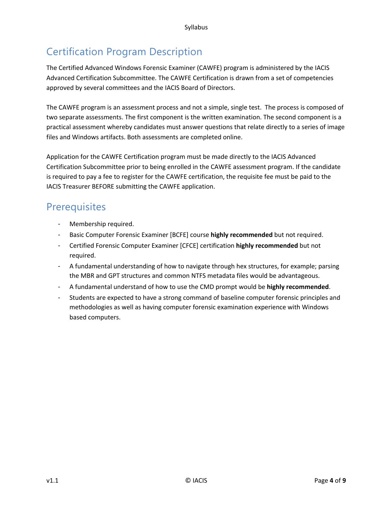## Certification Program Description

The Certified Advanced Windows Forensic Examiner (CAWFE) program is administered by the IACIS Advanced Certification Subcommittee. The CAWFE Certification is drawn from a set of competencies approved by several committees and the IACIS Board of Directors.

The CAWFE program is an assessment process and not a simple, single test. The process is composed of two separate assessments. The first component is the written examination. The second component is a practical assessment whereby candidates must answer questions that relate directly to a series of image files and Windows artifacts. Both assessments are completed online.

Application for the CAWFE Certification program must be made directly to the IACIS Advanced Certification Subcommittee prior to being enrolled in the CAWFE assessment program. If the candidate is required to pay a fee to register for the CAWFE certification, the requisite fee must be paid to the IACIS Treasurer BEFORE submitting the CAWFE application.

## **Prerequisites**

- Membership required.
- Basic Computer Forensic Examiner [BCFE] course **highly recommended** but not required.
- Certified Forensic Computer Examiner [CFCE] certification **highly recommended** but not required.
- A fundamental understanding of how to navigate through hex structures, for example; parsing the MBR and GPT structures and common NTFS metadata files would be advantageous.
- A fundamental understand of how to use the CMD prompt would be **highly recommended**.
- Students are expected to have a strong command of baseline computer forensic principles and methodologies as well as having computer forensic examination experience with Windows based computers.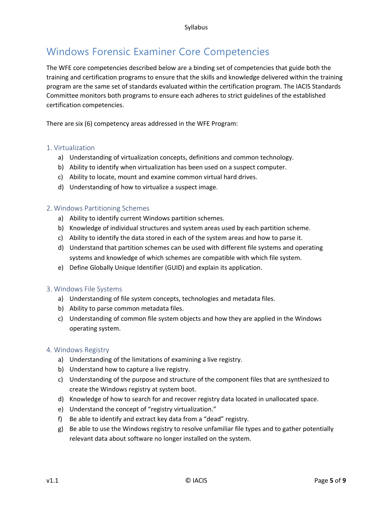## Windows Forensic Examiner Core Competencies

The WFE core competencies described below are a binding set of competencies that guide both the training and certification programs to ensure that the skills and knowledge delivered within the training program are the same set of standards evaluated within the certification program. The IACIS Standards Committee monitors both programs to ensure each adheres to strict guidelines of the established certification competencies.

There are six (6) competency areas addressed in the WFE Program:

#### 1. Virtualization

- a) Understanding of virtualization concepts, definitions and common technology.
- b) Ability to identify when virtualization has been used on a suspect computer.
- c) Ability to locate, mount and examine common virtual hard drives.
- d) Understanding of how to virtualize a suspect image.

#### 2. Windows Partitioning Schemes

- a) Ability to identify current Windows partition schemes.
- b) Knowledge of individual structures and system areas used by each partition scheme.
- c) Ability to identify the data stored in each of the system areas and how to parse it.
- d) Understand that partition schemes can be used with different file systems and operating systems and knowledge of which schemes are compatible with which file system.
- e) Define Globally Unique Identifier (GUID) and explain its application.

#### 3. Windows File Systems

- a) Understanding of file system concepts, technologies and metadata files.
- b) Ability to parse common metadata files.
- c) Understanding of common file system objects and how they are applied in the Windows operating system.

#### 4. Windows Registry

- a) Understanding of the limitations of examining a live registry.
- b) Understand how to capture a live registry.
- c) Understanding of the purpose and structure of the component files that are synthesized to create the Windows registry at system boot.
- d) Knowledge of how to search for and recover registry data located in unallocated space.
- e) Understand the concept of "registry virtualization."
- f) Be able to identify and extract key data from a "dead" registry.
- g) Be able to use the Windows registry to resolve unfamiliar file types and to gather potentially relevant data about software no longer installed on the system.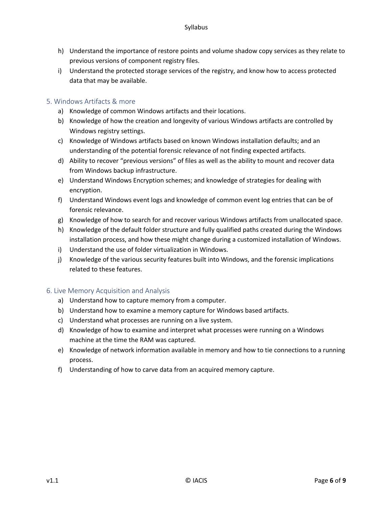- h) Understand the importance of restore points and volume shadow copy services as they relate to previous versions of component registry files.
- i) Understand the protected storage services of the registry, and know how to access protected data that may be available.

#### 5. Windows Artifacts & more

- a) Knowledge of common Windows artifacts and their locations.
- b) Knowledge of how the creation and longevity of various Windows artifacts are controlled by Windows registry settings.
- c) Knowledge of Windows artifacts based on known Windows installation defaults; and an understanding of the potential forensic relevance of not finding expected artifacts.
- d) Ability to recover "previous versions" of files as well as the ability to mount and recover data from Windows backup infrastructure.
- e) Understand Windows Encryption schemes; and knowledge of strategies for dealing with encryption.
- f) Understand Windows event logs and knowledge of common event log entries that can be of forensic relevance.
- g) Knowledge of how to search for and recover various Windows artifacts from unallocated space.
- h) Knowledge of the default folder structure and fully qualified paths created during the Windows installation process, and how these might change during a customized installation of Windows.
- i) Understand the use of folder virtualization in Windows.
- j) Knowledge of the various security features built into Windows, and the forensic implications related to these features.

#### 6. Live Memory Acquisition and Analysis

- a) Understand how to capture memory from a computer.
- b) Understand how to examine a memory capture for Windows based artifacts.
- c) Understand what processes are running on a live system.
- d) Knowledge of how to examine and interpret what processes were running on a Windows machine at the time the RAM was captured.
- e) Knowledge of network information available in memory and how to tie connections to a running process.
- f) Understanding of how to carve data from an acquired memory capture.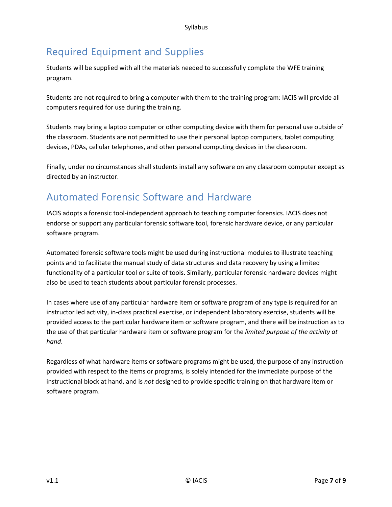## Required Equipment and Supplies

Students will be supplied with all the materials needed to successfully complete the WFE training program.

Students are not required to bring a computer with them to the training program: IACIS will provide all computers required for use during the training.

Students may bring a laptop computer or other computing device with them for personal use outside of the classroom. Students are not permitted to use their personal laptop computers, tablet computing devices, PDAs, cellular telephones, and other personal computing devices in the classroom.

Finally, under no circumstances shall students install any software on any classroom computer except as directed by an instructor.

## Automated Forensic Software and Hardware

IACIS adopts a forensic tool-independent approach to teaching computer forensics. IACIS does not endorse or support any particular forensic software tool, forensic hardware device, or any particular software program.

Automated forensic software tools might be used during instructional modules to illustrate teaching points and to facilitate the manual study of data structures and data recovery by using a limited functionality of a particular tool or suite of tools. Similarly, particular forensic hardware devices might also be used to teach students about particular forensic processes.

In cases where use of any particular hardware item or software program of any type is required for an instructor led activity, in-class practical exercise, or independent laboratory exercise, students will be provided access to the particular hardware item or software program, and there will be instruction as to the use of that particular hardware item or software program for the *limited purpose of the activity at hand*.

Regardless of what hardware items or software programs might be used, the purpose of any instruction provided with respect to the items or programs, is solely intended for the immediate purpose of the instructional block at hand, and is *not* designed to provide specific training on that hardware item or software program.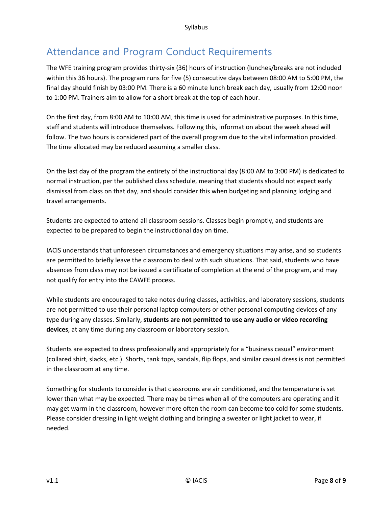## Attendance and Program Conduct Requirements

The WFE training program provides thirty-six (36) hours of instruction (lunches/breaks are not included within this 36 hours). The program runs for five (5) consecutive days between 08:00 AM to 5:00 PM, the final day should finish by 03:00 PM. There is a 60 minute lunch break each day, usually from 12:00 noon to 1:00 PM. Trainers aim to allow for a short break at the top of each hour.

On the first day, from 8:00 AM to 10:00 AM, this time is used for administrative purposes. In this time, staff and students will introduce themselves. Following this, information about the week ahead will follow. The two hours is considered part of the overall program due to the vital information provided. The time allocated may be reduced assuming a smaller class.

On the last day of the program the entirety of the instructional day (8:00 AM to 3:00 PM) is dedicated to normal instruction, per the published class schedule, meaning that students should not expect early dismissal from class on that day, and should consider this when budgeting and planning lodging and travel arrangements.

Students are expected to attend all classroom sessions. Classes begin promptly, and students are expected to be prepared to begin the instructional day on time.

IACIS understands that unforeseen circumstances and emergency situations may arise, and so students are permitted to briefly leave the classroom to deal with such situations. That said, students who have absences from class may not be issued a certificate of completion at the end of the program, and may not qualify for entry into the CAWFE process.

While students are encouraged to take notes during classes, activities, and laboratory sessions, students are not permitted to use their personal laptop computers or other personal computing devices of any type during any classes. Similarly, **students are not permitted to use any audio or video recording devices**, at any time during any classroom or laboratory session.

Students are expected to dress professionally and appropriately for a "business casual" environment (collared shirt, slacks, etc.). Shorts, tank tops, sandals, flip flops, and similar casual dress is not permitted in the classroom at any time.

Something for students to consider is that classrooms are air conditioned, and the temperature is set lower than what may be expected. There may be times when all of the computers are operating and it may get warm in the classroom, however more often the room can become too cold for some students. Please consider dressing in light weight clothing and bringing a sweater or light jacket to wear, if needed.